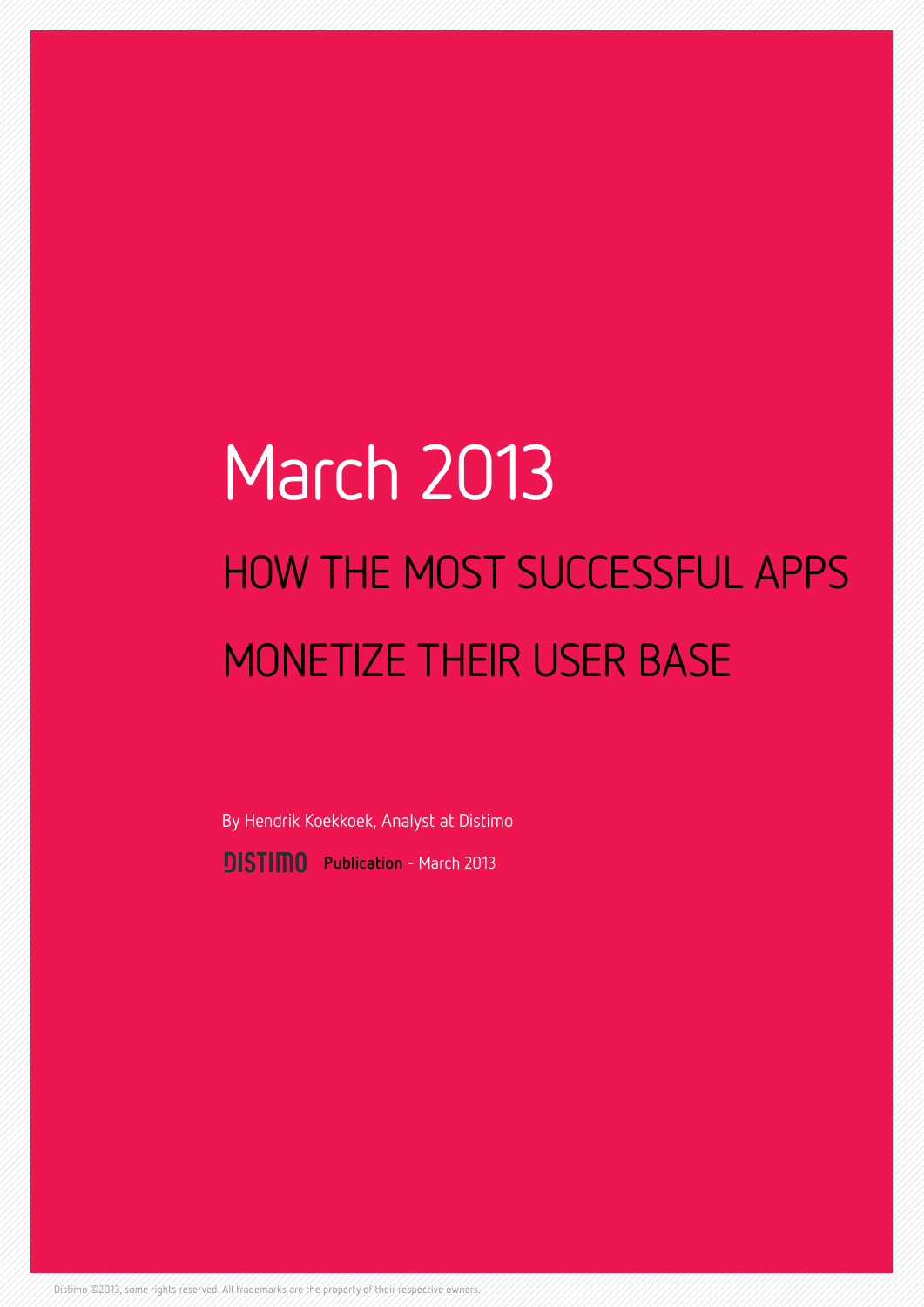# March 2013 HOW THE MOST SUCCESSFUL APPS MONETIZE THEIR USER BASE

**PISTIMO** Publication - March 2013 By Hendrik Koekkoek, Analyst at Distimo

Distimo ©2013, some rights reserved. All trademarks are the property of their respective owners.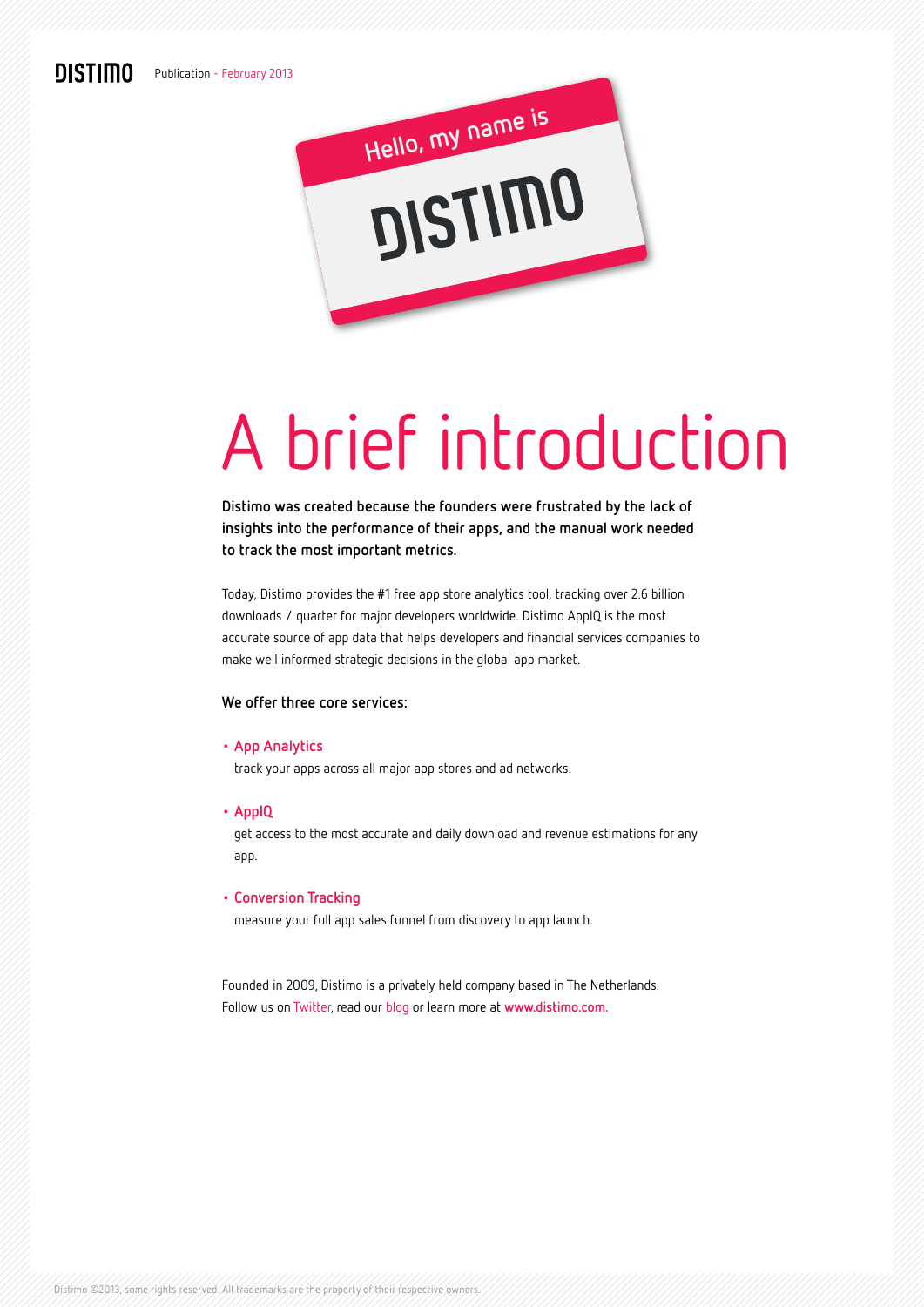## **DISTIMO**



# A brief introduction

**Distimo was created because the founders were frustrated by the lack of insights into the performance of their apps, and the manual work needed to track the most important metrics.** 

Today, Distimo provides the #1 free app store analytics tool, tracking over 2.6 billion downloads / quarter for major developers worldwide. Distimo AppIQ is the most accurate source of app data that helps developers and financial services companies to make well informed strategic decisions in the global app market.

#### **We offer three core services:**

#### **• App [Analytics](http://www.distimo.com/app-analytics)**

track your apps across all major app stores and ad networks.

**• AppIQ**

get access to the most accurate and daily download and revenue estimations for any app.

#### **• [Conversion](http://www.distimo.com/app-analytics#conversion-tracking) Tracking**

measure your full app sales funnel from discovery to app launch.

Founded in 2009, Distimo is a privately held company based in The Netherlands. Follow us on [Twitter](https://twitter.com/distimo), read our [blog](http://www.distimo.com/blog/) or learn more at **[www.distimo.com](http://www.distimo.com).**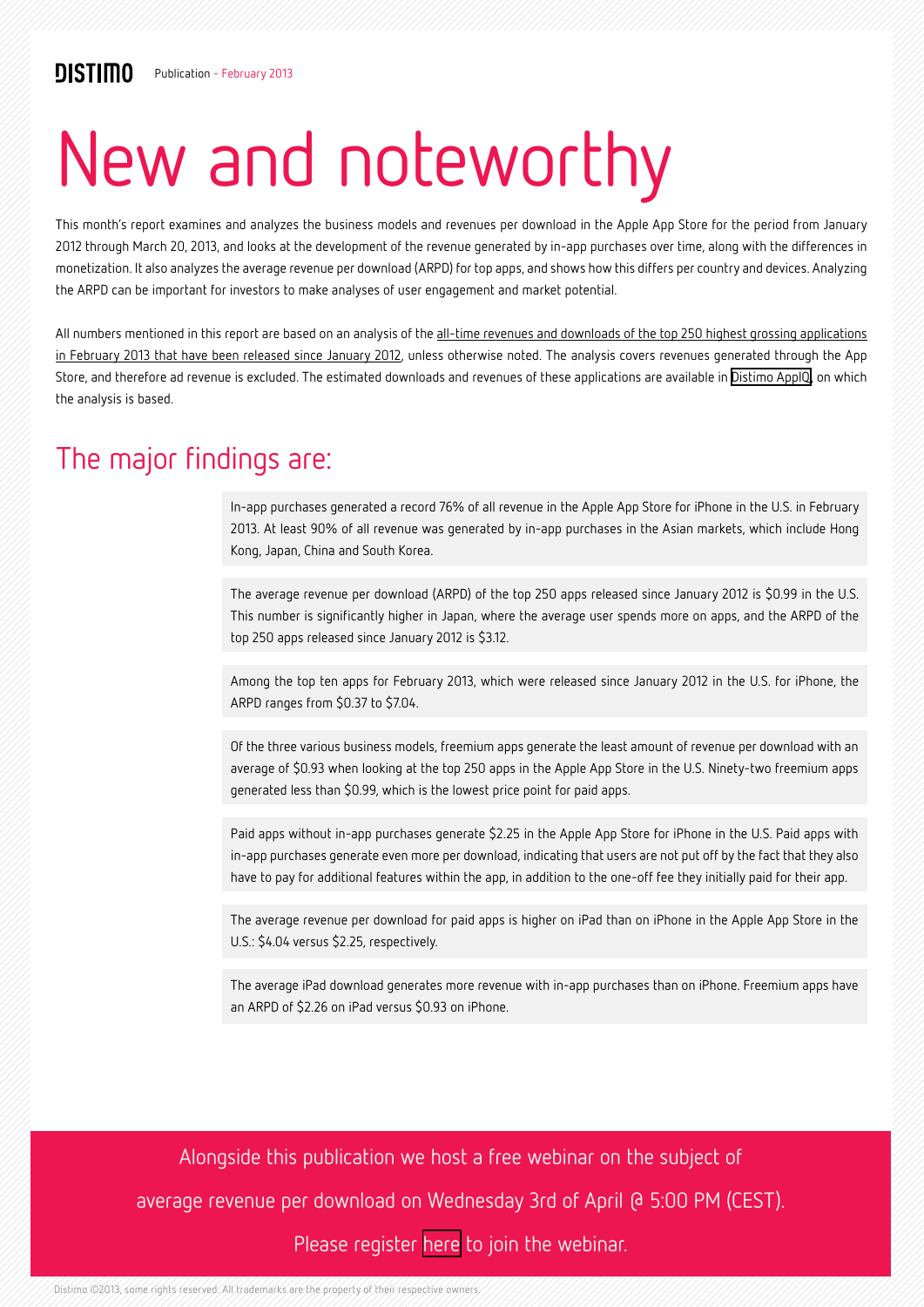# New and noteworthy

This month's report examines and analyzes the business models and revenues per download in the Apple App Store for the period from January 2012 through March 20, 2013, and looks at the development of the revenue generated by in-app purchases over time, along with the differences in monetization. It also analyzes the average revenue per download (ARPD) for top apps, and shows how this differs per country and devices. Analyzing the ARPD can be important for investors to make analyses of user engagement and market potential.

All numbers mentioned in this report are based on an analysis of the all-time revenues and downloads of the top 250 highest grossing applications in February 2013 that have been released since January 2012, unless otherwise noted. The analysis covers revenues generated through the App Store, and therefore ad revenue is excluded. The estimated downloads and revenues of these applications are available in [Distimo AppIQ,](http://www.distimo.com/appiq) on which the analysis is based.

## The major findings are:

In-app purchases generated a record 76% of all revenue in the Apple App Store for iPhone in the U.S. in February 2013. At least 90% of all revenue was generated by in-app purchases in the Asian markets, which include Hong Kong, Japan, China and South Korea.

The average revenue per download (ARPD) of the top 250 apps released since January 2012 is \$0.99 in the U.S. This number is significantly higher in Japan, where the average user spends more on apps, and the ARPD of the top 250 apps released since January 2012 is \$3.12.

Among the top ten apps for February 2013, which were released since January 2012 in the U.S. for iPhone, the ARPD ranges from \$0.37 to \$7.04.

Of the three various business models, freemium apps generate the least amount of revenue per download with an average of \$0.93 when looking at the top 250 apps in the Apple App Store in the U.S. Ninety-two freemium apps generated less than \$0.99, which is the lowest price point for paid apps.

Paid apps without in-app purchases generate \$2.25 in the Apple App Store for iPhone in the U.S. Paid apps with in-app purchases generate even more per download, indicating that users are not put off by the fact that they also have to pay for additional features within the app, in addition to the one-off fee they initially paid for their app.

The average revenue per download for paid apps is higher on iPad than on iPhone in the Apple App Store in the U.S.: \$4.04 versus \$2.25, respectively.

The average iPad download generates more revenue with in-app purchases than on iPhone. Freemium apps have an ARPD of \$2.26 on iPad versus \$0.93 on iPhone.

Alongside this publication we host a free webinar on the subject of average revenue per download on Wednesday 3rd of April @ 5:00 PM (CEST).

#### Please register [here](https://attendee.gotowebinar.com/register/5285237295302856960) to join the webinar.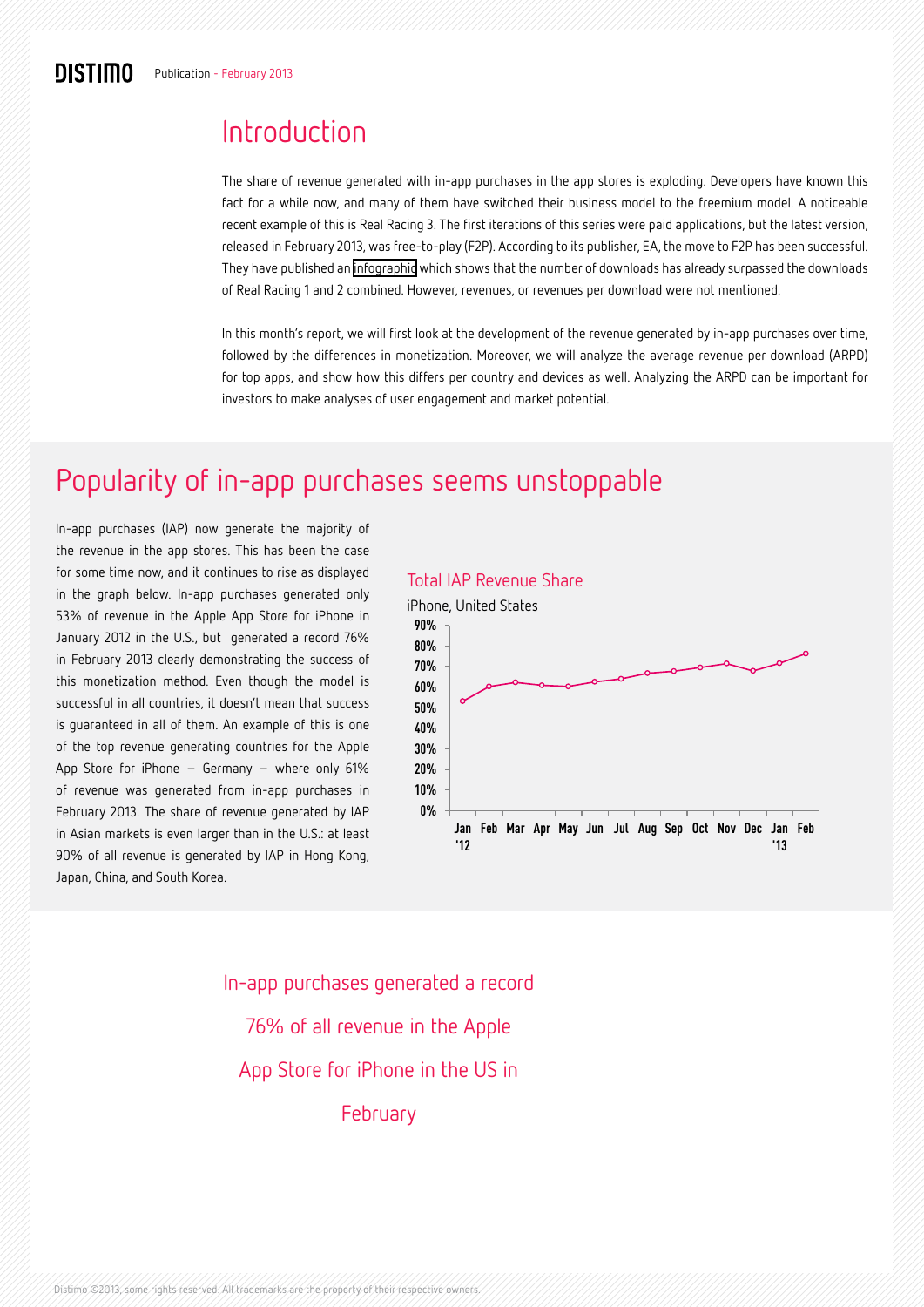# Introduction

The share of revenue generated with in-app purchases in the app stores is exploding. Developers have known this fact for a while now, and many of them have switched their business model to the freemium model. A noticeable recent example of this is Real Racing 3. The first iterations of this series were paid applications, but the latest version, released in February 2013, was free-to-play (F2P). According to its publisher, EA, the move to F2P has been successful. They have published an [infographic](http://www.ea.com/news/real-racing-3-by-the-numbers) which shows that the number of downloads has already surpassed the downloads of Real Racing 1 and 2 combined. However, revenues, or revenues per download were not mentioned.

In this month's report, we will first look at the development of the revenue generated by in-app purchases over time, followed by the differences in monetization. Moreover, we will analyze the average revenue per download (ARPD) for top apps, and show how this differs per country and devices as well. Analyzing the ARPD can be important for investors to make analyses of user engagement and market potential.

# Popularity of in-app purchases seems unstoppable

In-app purchases (IAP) now generate the majority of the revenue in the app stores. This has been the case for some time now, and it continues to rise as displayed in the graph below. In-app purchases generated only 53% of revenue in the Apple App Store for iPhone in January 2012 in the U.S., but generated a record 76% in February 2013 clearly demonstrating the success of this monetization method. Even though the model is successful in all countries, it doesn't mean that success is guaranteed in all of them. An example of this is one of the top revenue generating countries for the Apple App Store for iPhone – Germany – where only 61% of revenue was generated from in-app purchases in February 2013. The share of revenue generated by IAP in Asian markets is even larger than in the U.S.: at least 90% of all revenue is generated by IAP in Hong Kong, Japan, China, and South Korea.

#### Total IAP Revenue Share



In-app purchases generated a record 76% of all revenue in the Apple App Store for iPhone in the US in February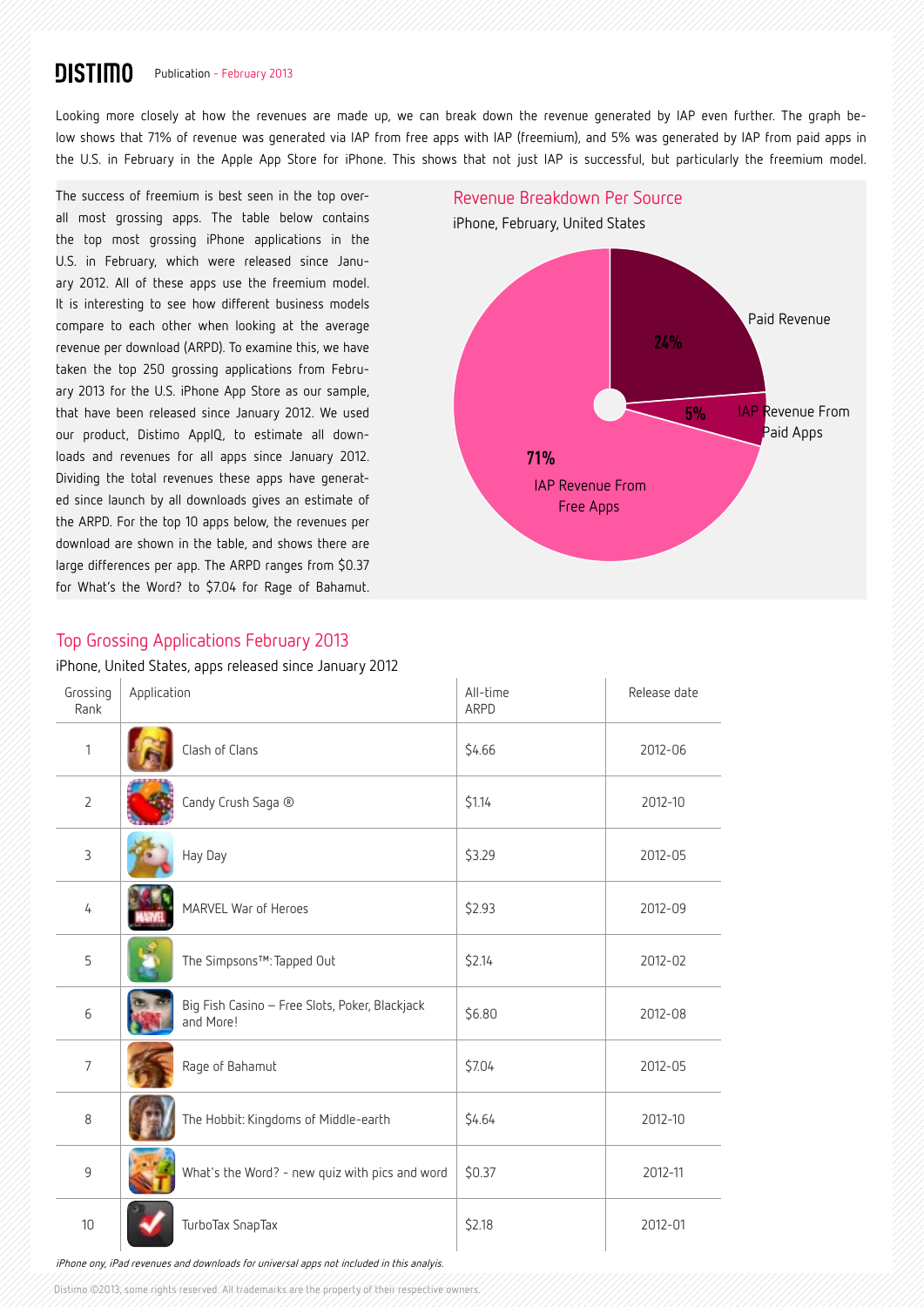#### **DISTIMO** Publication - February 2013

Looking more closely at how the revenues are made up, we can break down the revenue generated by IAP even further. The graph below shows that 71% of revenue was generated via IAP from free apps with IAP (freemium), and 5% was generated by IAP from paid apps in the U.S. in February in the Apple App Store for iPhone. This shows that not just IAP is successful, but particularly the freemium model.

The success of freemium is best seen in the top overall most grossing apps. The table below contains the top most grossing iPhone applications in the U.S. in February, which were released since January 2012. All of these apps use the freemium model. It is interesting to see how different business models compare to each other when looking at the average revenue per download (ARPD). To examine this, we have taken the top 250 grossing applications from February 2013 for the U.S. iPhone App Store as our sample, that have been released since January 2012. We used our product, Distimo AppIQ, to estimate all downloads and revenues for all apps since January 2012. Dividing the total revenues these apps have generated since launch by all downloads gives an estimate of the ARPD. For the top 10 apps below, the revenues per download are shown in the table, and shows there are large differences per app. The ARPD ranges from \$0.37 for What's the Word? to \$7.04 for Rage of Bahamut.

# **24% 5% 71%** iPhone, February, United States Revenue Breakdown Per Source Paid Revenue IAP Revenue From Paid Apps IAP Revenue From Free Apps

#### Top Grossing Applications February 2013

iPhone, United States, apps released since January 2012

| Grossing<br>Rank | Application                                                 | All-time<br>ARPD | Release date |
|------------------|-------------------------------------------------------------|------------------|--------------|
| $\mathbf{1}$     | Clash of Clans                                              | \$4.66           | 2012-06      |
| $\overline{2}$   | Candy Crush Saga ®                                          | \$1.14           | 2012-10      |
| 3                | Hay Day                                                     | \$3.29           | 2012-05      |
| 4                | MARVEL War of Heroes                                        | \$2.93           | 2012-09      |
| 5                | The Simpsons™: Tapped Out                                   | \$2.14           | 2012-02      |
| 6                | Big Fish Casino - Free Slots, Poker, Blackjack<br>and More! | \$6.80           | 2012-08      |
| $\overline{7}$   | Rage of Bahamut                                             | \$7.04           | 2012-05      |
| $\,8\,$          | The Hobbit: Kingdoms of Middle-earth                        | \$4.64           | 2012-10      |
| 9                | What's the Word? - new quiz with pics and word              | \$0.37           | 2012-11      |
| 10 <sup>1</sup>  | TurboTax SnapTax                                            | \$2.18           | 2012-01      |

iPhone ony, iPad revenues and downloads for universal apps not included in this analyis.

Distimo ©2013, some rights reserved. All trademarks are the property of their respective owners.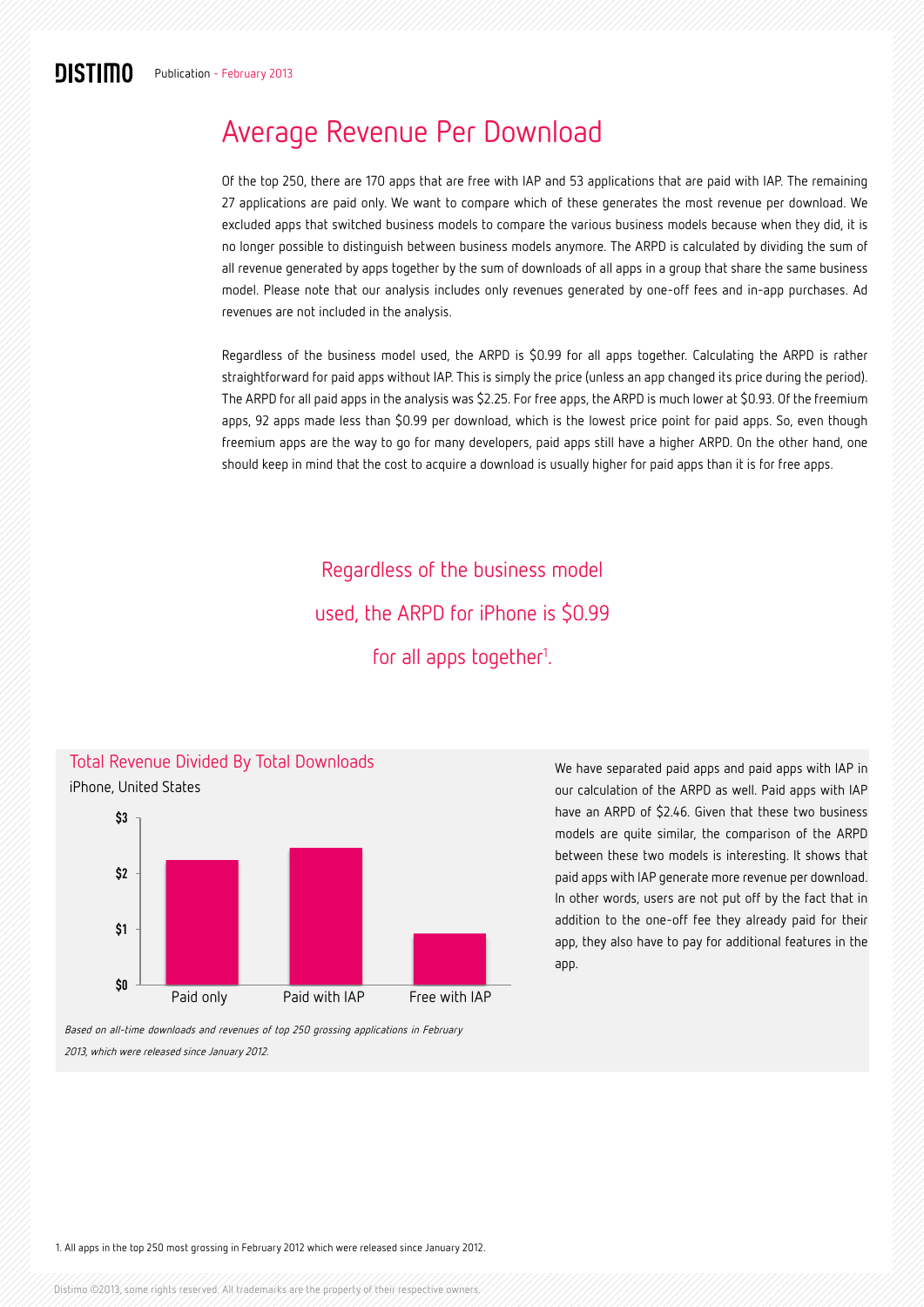## Average Revenue Per Download

Of the top 250, there are 170 apps that are free with IAP and 53 applications that are paid with IAP. The remaining 27 applications are paid only. We want to compare which of these generates the most revenue per download. We excluded apps that switched business models to compare the various business models because when they did, it is no longer possible to distinguish between business models anymore. The ARPD is calculated by dividing the sum of all revenue generated by apps together by the sum of downloads of all apps in a group that share the same business model. Please note that our analysis includes only revenues generated by one-off fees and in-app purchases. Ad revenues are not included in the analysis.

Regardless of the business model used, the ARPD is \$0.99 for all apps together. Calculating the ARPD is rather straightforward for paid apps without IAP. This is simply the price (unless an app changed its price during the period). The ARPD for all paid apps in the analysis was \$2.25. For free apps, the ARPD is much lower at \$0.93. Of the freemium apps, 92 apps made less than \$0.99 per download, which is the lowest price point for paid apps. So, even though freemium apps are the way to go for many developers, paid apps still have a higher ARPD. On the other hand, one should keep in mind that the cost to acquire a download is usually higher for paid apps than it is for free apps.

> Regardless of the business model used, the ARPD for iPhone is \$0.99 for all apps together<sup>1</sup>.



We have separated paid apps and paid apps with IAP in our calculation of the ARPD as well. Paid apps with IAP have an ARPD of \$2.46. Given that these two business models are quite similar, the comparison of the ARPD between these two models is interesting. It shows that paid apps with IAP generate more revenue per download. In other words, users are not put off by the fact that in addition to the one-off fee they already paid for their app, they also have to pay for additional features in the app.

Based on all-time downloads and revenues of top 250 grossing applications in February 2013, which were released since January 2012.

1. All apps in the top 250 most grossing in February 2012 which were released since January 2012.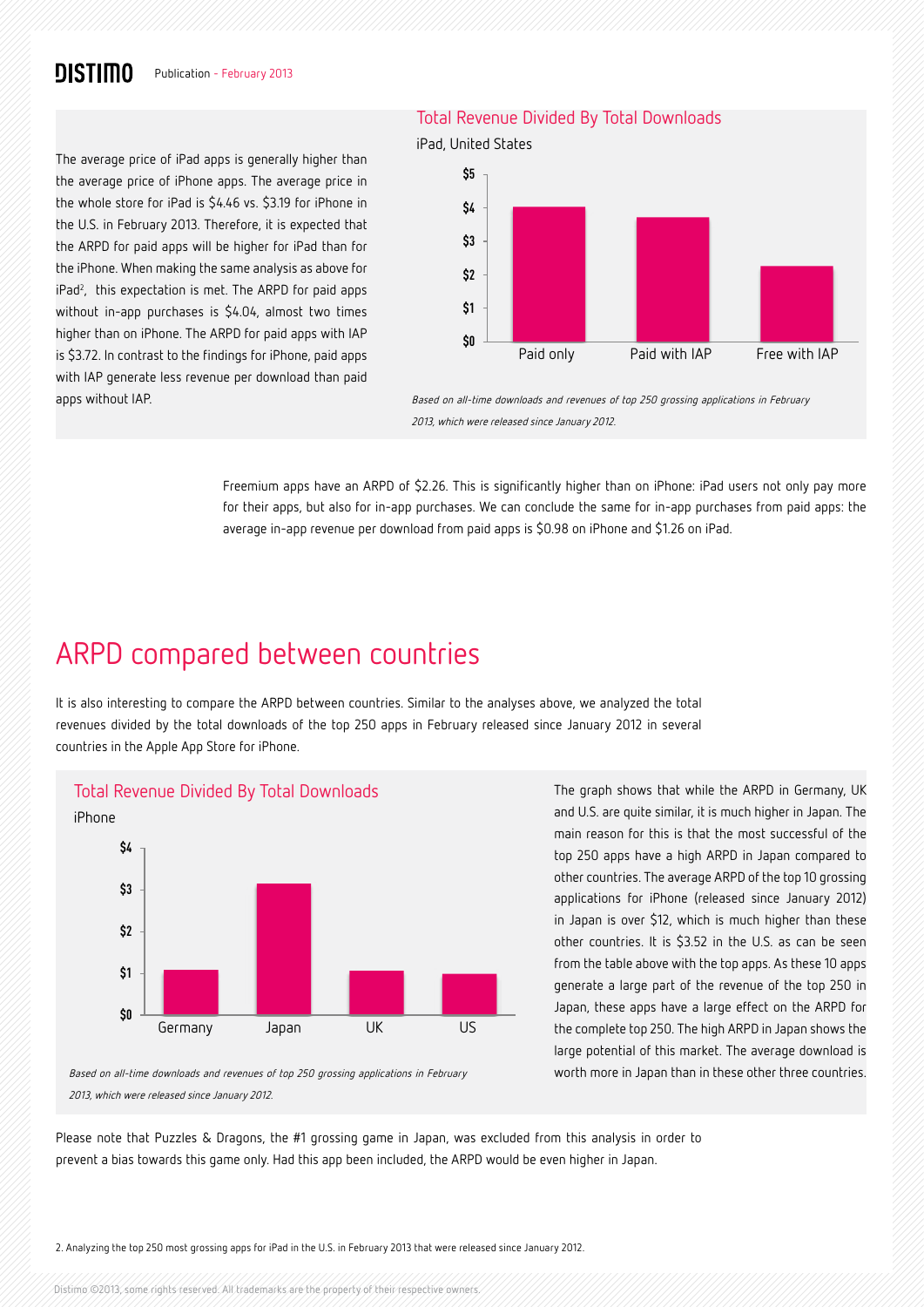### **DISTIMO**

#### The average price of iPad apps is generally higher than the average price of iPhone apps. The average price in the whole store for iPad is \$4.46 vs. \$3.19 for iPhone in the U.S. in February 2013. Therefore, it is expected that the ARPD for paid apps will be higher for iPad than for the iPhone. When making the same analysis as above for iPad<sup>2</sup>, this expectation is met. The ARPD for paid apps without in-app purchases is \$4.04, almost two times higher than on iPhone. The ARPD for paid apps with IAP is \$3.72. In contrast to the findings for iPhone, paid apps with IAP generate less revenue per download than paid apps without IAP.

#### Total Revenue Divided By Total Downloads





Based on all-time downloads and revenues of top 250 grossing applications in February 2013, which were released since January 2012.

Freemium apps have an ARPD of \$2.26. This is significantly higher than on iPhone: iPad users not only pay more for their apps, but also for in-app purchases. We can conclude the same for in-app purchases from paid apps: the average in-app revenue per download from paid apps is \$0.98 on iPhone and \$1.26 on iPad.

## ARPD compared between countries

It is also interesting to compare the ARPD between countries. Similar to the analyses above, we analyzed the total revenues divided by the total downloads of the top 250 apps in February released since January 2012 in several countries in the Apple App Store for iPhone.



The graph shows that while the ARPD in Germany, UK and U.S. are quite similar, it is much higher in Japan. The main reason for this is that the most successful of the top 250 apps have a high ARPD in Japan compared to other countries. The average ARPD of the top 10 grossing applications for iPhone (released since January 2012) in Japan is over \$12, which is much higher than these other countries. It is \$3.52 in the U.S. as can be seen from the table above with the top apps. As these 10 apps generate a large part of the revenue of the top 250 in Japan, these apps have a large effect on the ARPD for the complete top 250. The high ARPD in Japan shows the large potential of this market. The average download is worth more in Japan than in these other three countries.

Based on all-time downloads and revenues of top 250 grossing applications in February 2013, which were released since January 2012.

Please note that Puzzles & Dragons, the #1 grossing game in Japan, was excluded from this analysis in order to prevent a bias towards this game only. Had this app been included, the ARPD would be even higher in Japan.

2. Analyzing the top 250 most grossing apps for iPad in the U.S. in February 2013 that were released since January 2012.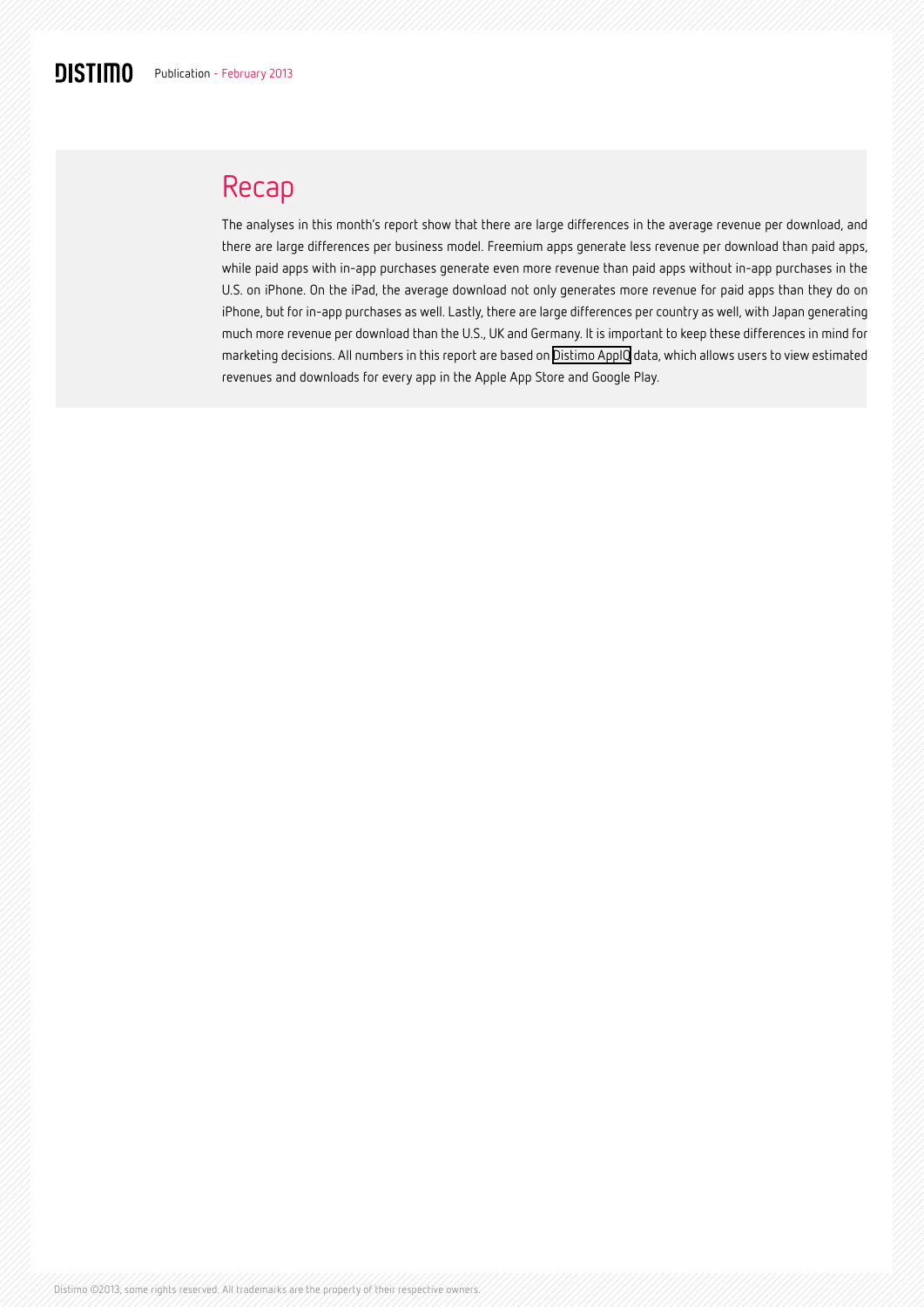# Recap

The analyses in this month's report show that there are large differences in the average revenue per download, and there are large differences per business model. Freemium apps generate less revenue per download than paid apps, while paid apps with in-app purchases generate even more revenue than paid apps without in-app purchases in the U.S. on iPhone. On the iPad, the average download not only generates more revenue for paid apps than they do on iPhone, but for in-app purchases as well. Lastly, there are large differences per country as well, with Japan generating much more revenue per download than the U.S., UK and Germany. It is important to keep these differences in mind for marketing decisions. All numbers in this report are based on [Distimo AppIQ](http://www.distimo.com/appiq) data, which allows users to view estimated revenues and downloads for every app in the Apple App Store and Google Play.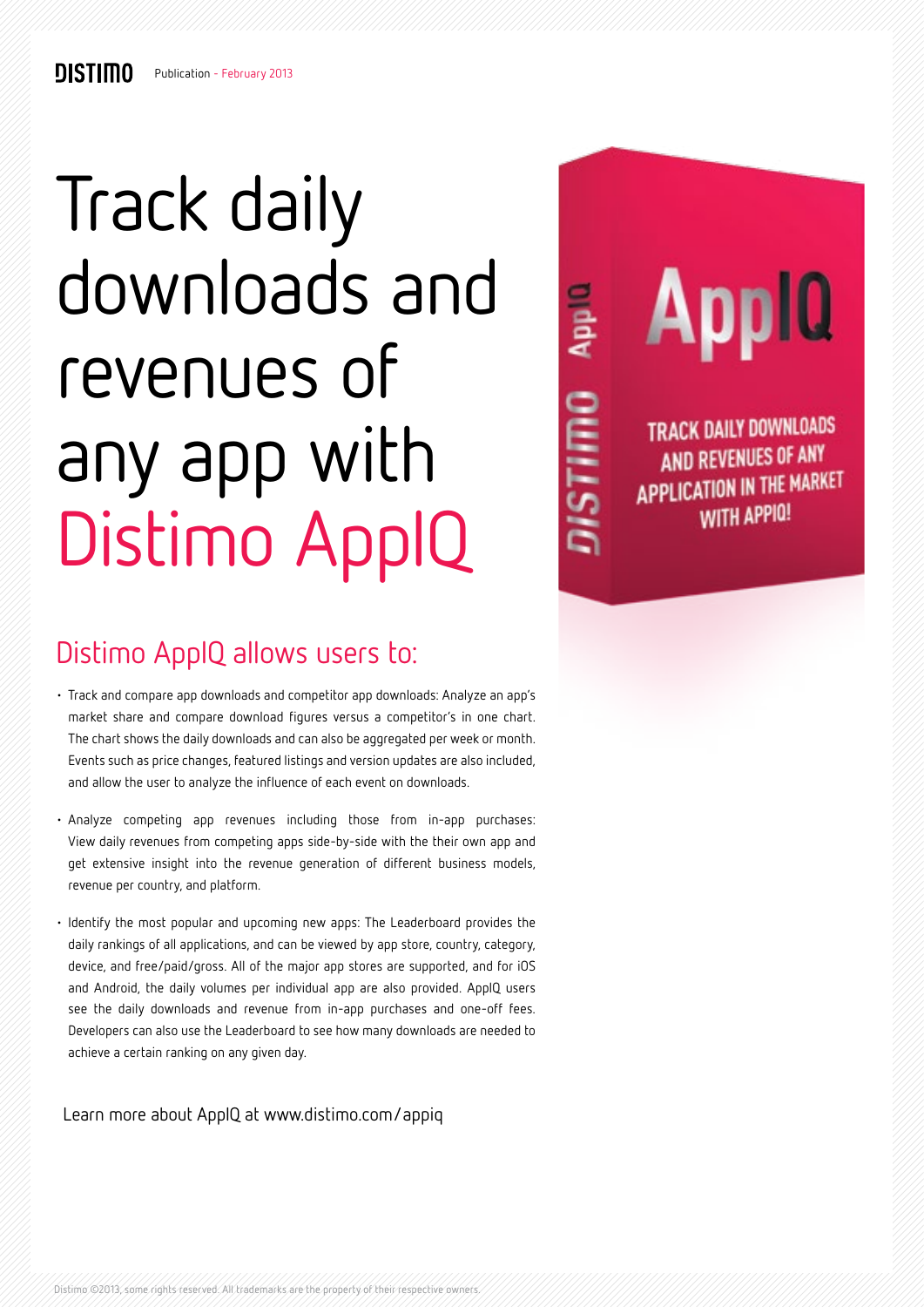# Track daily downloads and revenues of any app with Distimo AppIQ

App. OULLSN

# **Apple**

**TRACK DAILY DOWNLOADS AND REVENUES OF ANY APPLICATION IN THE MARKET WITH APPIO!** 

# Distimo AppIQ allows users to:

- Track and compare app downloads and competitor app downloads: Analyze an app's market share and compare download figures versus a competitor's in one chart. The chart shows the daily downloads and can also be aggregated per week or month. Events such as price changes, featured listings and version updates are also included, and allow the user to analyze the influence of each event on downloads.
- Analyze competing app revenues including those from in-app purchases: View daily revenues from competing apps side-by-side with the their own app and get extensive insight into the revenue generation of different business models, revenue per country, and platform.
- Identify the most popular and upcoming new apps: The Leaderboard provides the daily rankings of all applications, and can be viewed by app store, country, category, device, and free/paid/gross. All of the major app stores are supported, and for iOS and Android, the daily volumes per individual app are also provided. AppIQ users see the daily downloads and revenue from in-app purchases and one-off fees. Developers can also use the Leaderboard to see how many downloads are needed to achieve a certain ranking on any given day.

Learn more about AppIQ at [www.distimo.com/appiq](http://www.distimo.com/app-analytics/appiq)